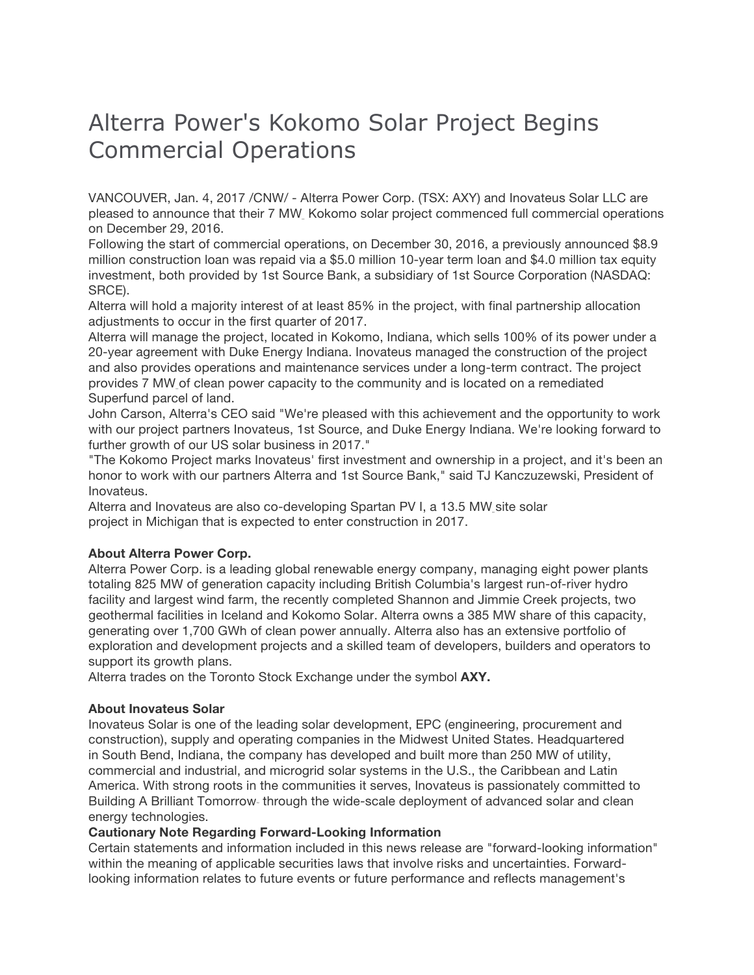## Alterra Power's Kokomo Solar Project Begins Commercial Operations

VANCOUVER, Jan. 4, 2017 /CNW/ - Alterra Power Corp. (TSX: AXY) and Inovateus Solar LLC are pleased to announce that their 7 MW Kokomo solar project commenced full commercial operations on December 29, 2016.

Following the start of commercial operations, on December 30, 2016, a previously announced \$8.9 million construction loan was repaid via a \$5.0 million 10-year term loan and \$4.0 million tax equity investment, both provided by 1st Source Bank, a subsidiary of 1st Source Corporation (NASDAQ: SRCE).

Alterra will hold a majority interest of at least 85% in the project, with final partnership allocation adjustments to occur in the first quarter of 2017.

Alterra will manage the project, located in Kokomo, Indiana, which sells 100% of its power under a 20-year agreement with Duke Energy Indiana. Inovateus managed the construction of the project and also provides operations and maintenance services under a long-term contract. The project provides 7 MW of clean power capacity to the community and is located on a remediated Superfund parcel of land.

John Carson, Alterra's CEO said "We're pleased with this achievement and the opportunity to work with our project partners Inovateus, 1st Source, and Duke Energy Indiana. We're looking forward to further growth of our US solar business in 2017."

"The Kokomo Project marks Inovateus' first investment and ownership in a project, and it's been an honor to work with our partners Alterra and 1st Source Bank," said TJ Kanczuzewski, President of Inovateus.

Alterra and Inovateus are also co-developing Spartan PV I, a 13.5 MW site solar project in Michigan that is expected to enter construction in 2017.

## **About Alterra Power Corp.**

Alterra Power Corp. is a leading global renewable energy company, managing eight power plants totaling 825 MW of generation capacity including British Columbia's largest run-of-river hydro facility and largest wind farm, the recently completed Shannon and Jimmie Creek projects, two geothermal facilities in Iceland and Kokomo Solar. Alterra owns a 385 MW share of this capacity, generating over 1,700 GWh of clean power annually. Alterra also has an extensive portfolio of exploration and development projects and a skilled team of developers, builders and operators to support its growth plans.

Alterra trades on the Toronto Stock Exchange under the symbol **AXY.**

## **About Inovateus Solar**

Inovateus Solar is one of the leading solar development, EPC (engineering, procurement and construction), supply and operating companies in the Midwest United States. Headquartered in South Bend, Indiana, the company has developed and built more than 250 MW of utility, commercial and industrial, and microgrid solar systems in the U.S., the Caribbean and Latin America. With strong roots in the communities it serves, Inovateus is passionately committed to Building A Brilliant Tomorrow-through the wide-scale deployment of advanced solar and clean energy technologies.

## **Cautionary Note Regarding Forward-Looking Information**

Certain statements and information included in this news release are "forward-looking information" within the meaning of applicable securities laws that involve risks and uncertainties. Forwardlooking information relates to future events or future performance and reflects management's